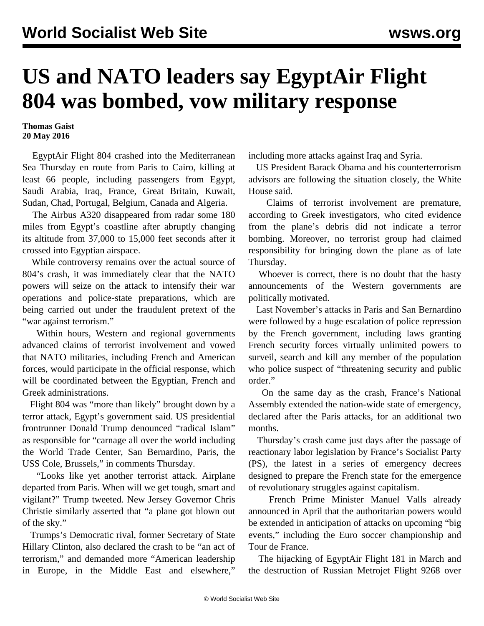## **US and NATO leaders say EgyptAir Flight 804 was bombed, vow military response**

## **Thomas Gaist 20 May 2016**

 EgyptAir Flight 804 crashed into the Mediterranean Sea Thursday en route from Paris to Cairo, killing at least 66 people, including passengers from Egypt, Saudi Arabia, Iraq, France, Great Britain, Kuwait, Sudan, Chad, Portugal, Belgium, Canada and Algeria.

 The Airbus A320 disappeared from radar some 180 miles from Egypt's coastline after abruptly changing its altitude from 37,000 to 15,000 feet seconds after it crossed into Egyptian airspace.

 While controversy remains over the actual source of 804's crash, it was immediately clear that the NATO powers will seize on the attack to intensify their war operations and police-state preparations, which are being carried out under the fraudulent pretext of the "war against terrorism."

 Within hours, Western and regional governments advanced claims of terrorist involvement and vowed that NATO militaries, including French and American forces, would participate in the official response, which will be coordinated between the Egyptian, French and Greek administrations.

 Flight 804 was "more than likely" brought down by a terror attack, Egypt's government said. US presidential frontrunner Donald Trump denounced "radical Islam" as responsible for "carnage all over the world including the World Trade Center, San Bernardino, Paris, the USS Cole, Brussels," in comments Thursday.

 "Looks like yet another terrorist attack. Airplane departed from Paris. When will we get tough, smart and vigilant?" Trump tweeted. New Jersey Governor Chris Christie similarly asserted that "a plane got blown out of the sky."

 Trumps's Democratic rival, former Secretary of State Hillary Clinton, also declared the crash to be "an act of terrorism," and demanded more "American leadership in Europe, in the Middle East and elsewhere,"

including more attacks against Iraq and Syria.

 US President Barack Obama and his counterterrorism advisors are following the situation closely, the White House said.

 Claims of terrorist involvement are premature, according to Greek investigators, who cited evidence from the plane's debris did not indicate a terror bombing. Moreover, no terrorist group had claimed responsibility for bringing down the plane as of late Thursday.

 Whoever is correct, there is no doubt that the hasty announcements of the Western governments are politically motivated.

 Last November's attacks in Paris and San Bernardino were followed by a huge escalation of police repression by the French government, including laws granting French security forces virtually unlimited powers to surveil, search and kill any member of the population who police suspect of "threatening security and public order."

 On the same day as the crash, France's National Assembly extended the nation-wide state of emergency, declared after the Paris attacks, for an additional two months.

 Thursday's crash came just days after the passage of reactionary labor legislation by France's Socialist Party (PS), the latest in a series of emergency decrees designed to prepare the French state for the emergence of revolutionary struggles against capitalism.

 French Prime Minister Manuel Valls already announced in April that the authoritarian powers would be extended in anticipation of attacks on upcoming "big events," including the Euro soccer championship and Tour de France.

 The hijacking of EgyptAir Flight 181 in March and the destruction of Russian Metrojet Flight 9268 over